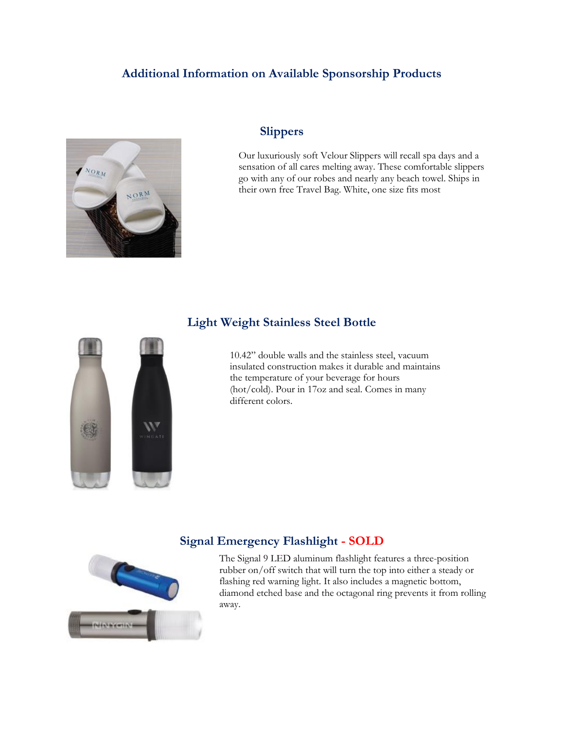### **Additional Information on Available Sponsorship Products**



#### **Slippers**

Our luxuriously soft Velour Slippers will recall spa days and a sensation of all cares melting away. These comfortable slippers go with any of our robes and nearly any beach towel. Ships in their own free Travel Bag. White, one size fits most

#### **Light Weight Stainless Steel Bottle**



10.42" double walls and the stainless steel, vacuum insulated construction makes it durable and maintains the temperature of your beverage for hours (hot/cold). Pour in 17oz and seal. Comes in many different colors.

#### **Signal Emergency Flashlight - SOLD**

The Signal 9 LED aluminum flashlight features a three-position rubber on/off switch that will turn the top into either a steady or flashing red warning light. It also includes a magnetic bottom, diamond etched base and the octagonal ring prevents it from rolling away.

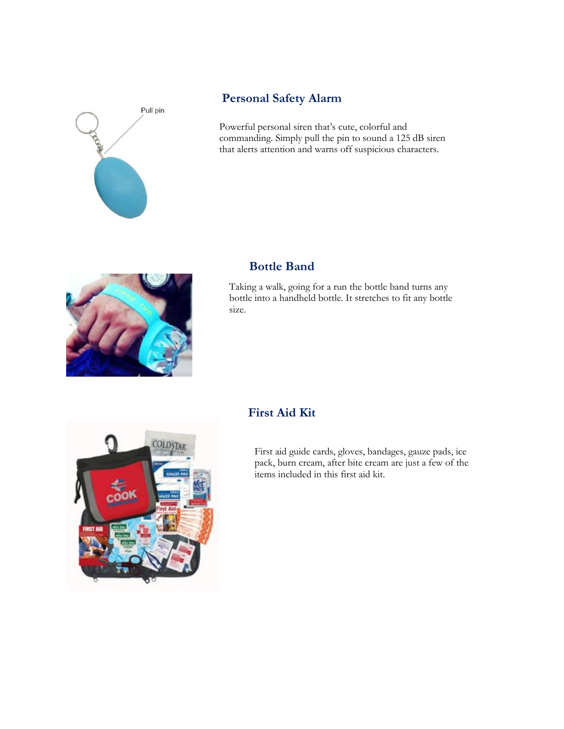

# **Personal Safety Alarm**

Powerful personal siren that's cute, colorful and commanding. Simply pull the pin to sound a 125 dB siren that alerts attention and warns off suspicious characters.



#### **Bottle Band**

Taking a walk, going for a run the bottle band turns any bottle into a handheld bottle. It stretches to fit any bottle size.



## **First Aid Kit**

First aid guide cards, gloves, bandages, gauze pads, ice pack, burn cream, after bite cream are just a few of the items included in this first aid kit.